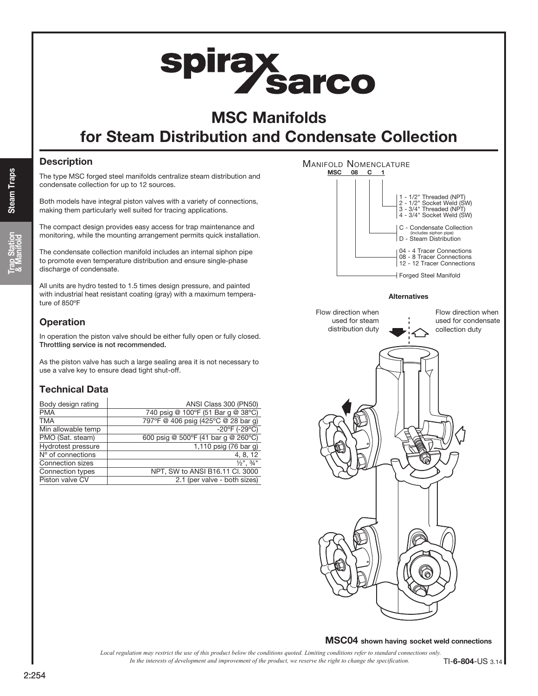# **spiray<br>Sarco**

# MSC Manifolds

# for Steam Distribution and Condensate Collection

# **Description**

The type MSC forged steel manifolds centralize steam distribution and condensate collection for up to 12 sources.

Both models have integral piston valves with a variety of connections, making them particularly well suited for tracing applications.

The compact design provides easy access for trap maintenance and monitoring, while the mounting arrangement permits quick installation.

The condensate collection manifold includes an internal siphon pipe to promote even temperature distribution and ensure single-phase discharge of condensate.

All units are hydro tested to 1.5 times design pressure, and painted with industrial heat resistant coating (gray) with a maximum temperature of 850ºF

# **Operation**

In operation the piston valve should be either fully open or fully closed. Throttling service is not recommended.

As the piston valve has such a large sealing area it is not necessary to use a valve key to ensure dead tight shut-off.

# Technical Data

| Body design rating | ANSI Class 300 (PN50)               |
|--------------------|-------------------------------------|
| <b>PMA</b>         | 740 psig @ 100°F (51 Bar g @ 38°C)  |
| <b>TMA</b>         | 797°F @ 406 psig (425°C @ 28 bar g) |
| Min allowable temp | $-20^{\circ}$ F (-29 $^{\circ}$ C)  |
| PMO (Sat. steam)   | 600 psig @ 500°F (41 bar g @ 260°C) |
| Hydrotest pressure | 1,110 psig (76 bar g)               |
| N° of connections  | 4, 8, 12                            |
| Connection sizes   | $\frac{1}{2}$ ", $\frac{3}{4}$ "    |
| Connection types   | NPT, SW to ANSI B16.11 Cl. 3000     |
| Piston valve CV    | 2.1 (per valve - both sizes)        |



Alternatives



# MSC04 shown having socket weld connections

*In the interests of development and improvement of the product, we reserve the right to change the specification. Local regulation may restrict the use of this product below the conditions quoted. Limiting conditions refer to standard connections only.* TI-6-804-US 3.14

# 2:254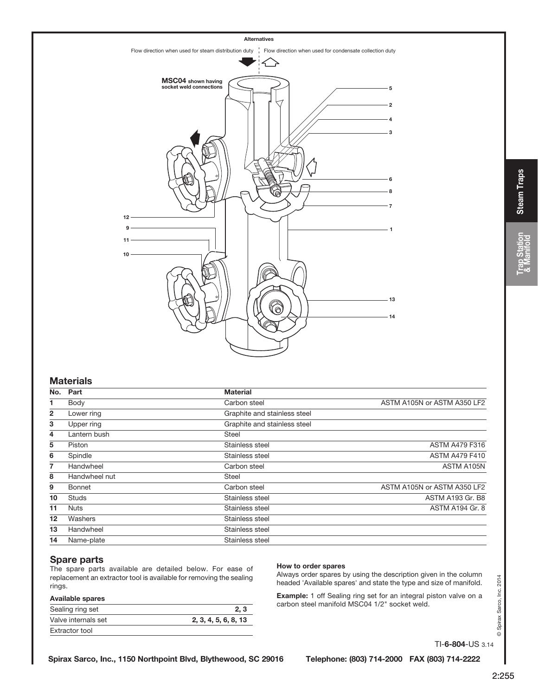

#### **Materials**

| No.            | Part          | <b>Material</b>              |                             |
|----------------|---------------|------------------------------|-----------------------------|
| 1.             | Body          | Carbon steel                 | ASTM A105N or ASTM A350 LF2 |
| $\overline{2}$ | Lower ring    | Graphite and stainless steel |                             |
| 3              | Upper ring    | Graphite and stainless steel |                             |
| $\overline{4}$ | Lantern bush  | <b>Steel</b>                 |                             |
| 5              | Piston        | Stainless steel              | <b>ASTM A479 F316</b>       |
| 6              | Spindle       | Stainless steel              | <b>ASTM A479 F410</b>       |
| $\overline{7}$ | Handwheel     | Carbon steel                 | ASTM A105N                  |
| 8              | Handwheel nut | <b>Steel</b>                 |                             |
| 9              | Bonnet        | Carbon steel                 | ASTM A105N or ASTM A350 LF2 |
| 10             | <b>Studs</b>  | Stainless steel              | <b>ASTM A193 Gr. B8</b>     |
| 11             | <b>Nuts</b>   | Stainless steel              | ASTM A194 Gr. 8             |
| 12             | Washers       | Stainless steel              |                             |
| 13             | Handwheel     | Stainless steel              |                             |
| 14             | Name-plate    | Stainless steel              |                             |

#### Spare parts

The spare parts available are detailed below. For ease of replacement an extractor tool is available for removing the sealing rings.

| <b>Available spares</b> |                      |
|-------------------------|----------------------|
| Sealing ring set        | 2.3                  |
| Valve internals set     | 2, 3, 4, 5, 6, 8, 13 |
| Extractor tool          |                      |

#### How to order spares

Always order spares by using the description given in the column headed 'Available spares' and state the type and size of manifold.

Example: 1 off Sealing ring set for an integral piston valve on a carbon steel manifold MSC04 1/2" socket weld.

TI-6-804-US 3.14

© Spirax Sarco, Inc. 2014

Spirax Sarco, Inc. 2014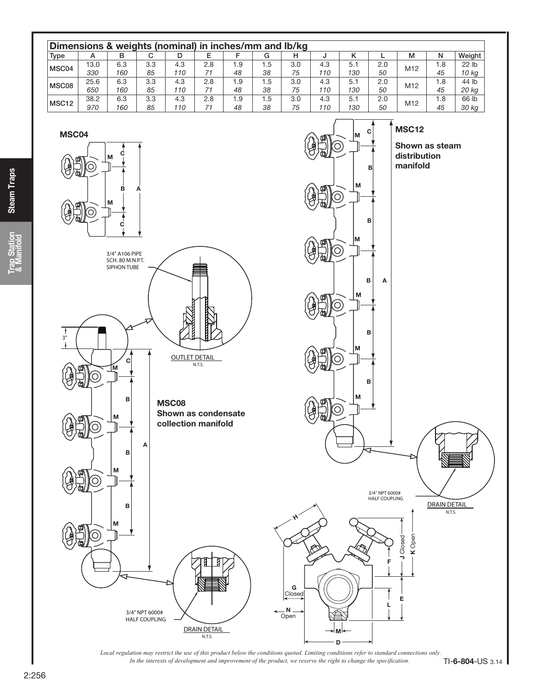

*In the interests of development and improvement of the product, we reserve the right to change the specification. Local regulation may restrict the use of this product below the conditions quoted. Limiting conditions refer to standard connections only.*

**Trap Station**<br>& Manifold